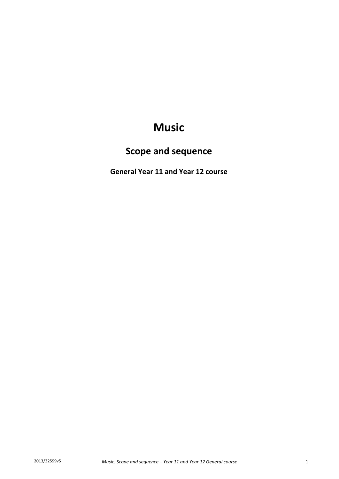# **Music**

# **Scope and sequence**

**General Year 11 and Year 12 course**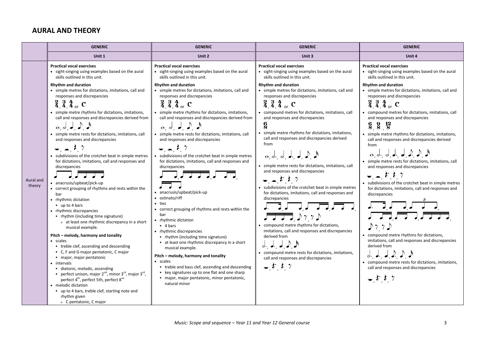#### **AURAL AND THEORY**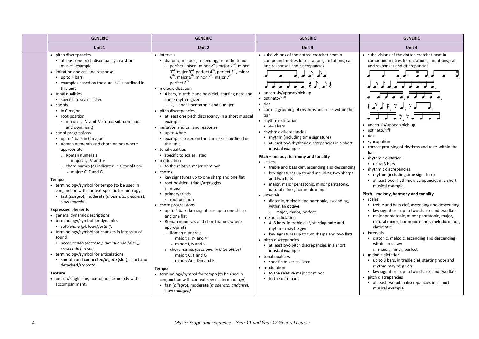| Unit 1<br>Unit 2<br>Unit 3<br>Unit 4<br>• subdivisions of the dotted crotchet beat in<br>• subdivisions of the dotted crotchet beat in<br>• pitch discrepancies<br>• intervals<br>• at least one pitch discrepancy in a short<br>diatonic, melodic, ascending, from the tonic<br>compound metres for dictations, imitations, call<br>compound metres for dictations, imitations, call<br>o perfect unison, minor $2^{nd}$ , major $2^{nd}$ , minor<br>and responses and discrepancies<br>musical example<br>and responses and discrepancies<br>3 <sup>rd</sup> , major 3 <sup>rd</sup> , perfect 4 <sup>th</sup> , perfect 5 <sup>th</sup> , minor<br>• imitation and call and response<br>$6^{\text{th}}$ , major $6^{\text{th}}$ , minor $7^{\text{th}}$ , major $7^{\text{th}}$ ,<br>$\blacksquare$ up to 4 bars<br>perfect 8 <sup>ve</sup><br>JDJJJJJJ<br>• examples based on the aural skills outlined in<br><del>▞▜▕▔▟▔▔▛▔</del> ▔▏ <del>▖</del> ▁▏▁▏▞▗<br>this unit<br>• melodic dictation<br>• anacrusis/upbeat/pick-up<br>$\overline{J}$ $\overline{J}$ $\overline{J}$ $\overline{J}$ $\overline{J}$ $\overline{J}$ $\overline{J}$<br>• tonal qualities<br>• 4 bars, in treble and bass clef, starting note and<br>• ostinato/riff<br>• specific to scales listed<br>some rhythm given<br>· ties<br>もりりもりょう<br>chords<br>o C, F and G pentatonic and C major<br>• correct grouping of rhythms and rests within the<br>• pitch discrepancies<br>$\blacksquare$ in C major<br>777<br>bar<br>at least one pitch discrepancy in a short musical<br>• root position<br>• rhythmic dictation<br>o major: I, IV and V (tonic, sub-dominant<br>example<br>• anacrusis/upbeat/pick-up<br>$-4-8$ bars<br>and dominant)<br>• imitation and call and response<br>• ostinato/riff<br>• rhythmic discrepancies<br>• chord progressions<br>$\blacksquare$ up to 4 bars<br>• ties<br>• rhythm (including time signature)<br>• examples based on the aural skills outlined in<br>$\bullet$ up to 4 bars in C major<br>• syncopation<br>at least two rhythmic discrepancies in a short<br>• Roman numerals and chord names where<br>this unit<br>• correct grouping of rhythms and rests within the<br>musical example.<br>• tonal qualities<br>appropriate<br>bar<br>• specific to scales listed<br>o Roman numerals<br>Pitch – melody, harmony and tonality<br>• rhythmic dictation<br>$-$ major: I, IV and V<br>• modulation<br>• scales<br>$\blacksquare$ up to 8 bars<br>o chord names (as indicated in C tonalities)<br>• to the relative major or minor<br>• treble and bass clef, ascending and descending<br>• rhythmic discrepancies<br>$-$ major: C, F and G.<br>• chords<br>• key signatures up to and including two sharps<br>• rhythm (including time signature)<br>• key signatures up to one sharp and one flat<br>and two flats<br><b>Tempo</b><br>at least two rhythmic discrepancies in a short<br>root position, triads/arpeggios |
|----------------------------------------------------------------------------------------------------------------------------------------------------------------------------------------------------------------------------------------------------------------------------------------------------------------------------------------------------------------------------------------------------------------------------------------------------------------------------------------------------------------------------------------------------------------------------------------------------------------------------------------------------------------------------------------------------------------------------------------------------------------------------------------------------------------------------------------------------------------------------------------------------------------------------------------------------------------------------------------------------------------------------------------------------------------------------------------------------------------------------------------------------------------------------------------------------------------------------------------------------------------------------------------------------------------------------------------------------------------------------------------------------------------------------------------------------------------------------------------------------------------------------------------------------------------------------------------------------------------------------------------------------------------------------------------------------------------------------------------------------------------------------------------------------------------------------------------------------------------------------------------------------------------------------------------------------------------------------------------------------------------------------------------------------------------------------------------------------------------------------------------------------------------------------------------------------------------------------------------------------------------------------------------------------------------------------------------------------------------------------------------------------------------------------------------------------------------------------------------------------------------------------------------------------------------------------------------------------------------------------------------------------------------------------------------------------------------------------------------------------------------------------------------------------------------------------------------------------------------------------------------------------------------------------------------------|
|                                                                                                                                                                                                                                                                                                                                                                                                                                                                                                                                                                                                                                                                                                                                                                                                                                                                                                                                                                                                                                                                                                                                                                                                                                                                                                                                                                                                                                                                                                                                                                                                                                                                                                                                                                                                                                                                                                                                                                                                                                                                                                                                                                                                                                                                                                                                                                                                                                                                                                                                                                                                                                                                                                                                                                                                                                                                                                                                              |
| · major, major pentatonic, minor pentatonic,<br>• terminology/symbol for tempo (to be used in<br>musical example.<br><sup>o</sup> major<br>natural minor, harmonic minor<br>conjunction with context-specific terminology)<br>Pitch – melody, harmony and tonality<br>primary triads<br>• intervals<br>· fast (allegro), moderate (moderato, andante),<br>• scales<br>o root position<br>· diatonic, melodic and harmonic, ascending,<br>slow (adagio).<br>• treble and bass clef, ascending and descending<br>• chord progressions<br>within an octave<br><b>Expressive elements</b><br>• key signatures up to two sharps and two flats<br>• up to 4 bars, key signatures up to one sharp<br>o major, minor, perfect<br>• general dynamic descriptions<br>and one flat<br>· major pentatonic, minor pentatonic, major,<br>• melodic dictation<br>• terminology/symbol for dynamics<br>natural minor, harmonic minor, melodic minor,<br>• Roman numerals and chord names where<br>• 4-8 bars, in treble clef, starting note and<br>soft/piano (p), loud/forte (f)<br>chromatic<br>appropriate<br>rhythms may be given<br>terminology/symbol for changes in intensity of<br>• intervals<br>o Roman numerals<br>• key signatures up to two sharps and two flats<br>sound<br>· diatonic, melodic, ascending and descending,<br>$-$ major: I, IV and V<br>• pitch discrepancies<br>· decrescendo (decresc.), diminuendo (dim.),<br>within an octave<br>$-$ minor: i, iv and V<br>at least two pitch discrepancies in a short<br>crescendo (cresc.)<br>o chord names (as shown in C tonalities)<br>o major, minor, perfect<br>musical example<br>• terminology/symbol for articulations<br>• melodic dictation<br>$-$ major: C, F and G<br>• tonal qualities<br>· smooth and connected/legato (slur), short and<br>• up to 8 bars, in treble clef, starting note and<br>- minor: Am, Dm and E.<br>• specific to scales listed<br>detached/staccato.<br>rhythm may be given<br>• modulation<br>Tempo<br>• key signatures up to two sharps and two flats<br>• to the relative major or minor<br><b>Texture</b><br>• terminology/symbol for tempo (to be used in<br>pitch discrepancies<br>• unison/single line, homophonic/melody with<br>• to the dominant<br>conjunction with context specific terminology)<br>at least two pitch discrepancies in a short<br>accompaniment.<br>· fast (allegro), moderate (moderato, andante),<br>musical example                                                                                                                                                                                                                                                                                                                                                                                                                                                                                                |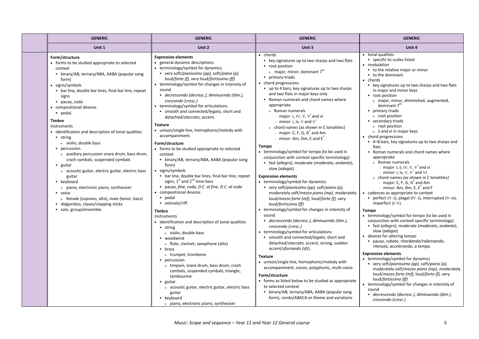| <b>GENERIC</b>                                                                                                                                                                                                                                                                                                                                                                                                                                                                                                                                                                                                                                                                                                                                                                                 | <b>GENERIC</b>                                                                                                                                                                                                                                                                                                                                                                                                                                                                                                                                                                                                                                                                                                                                                                                                                                                                                                                                                                                                                                                                                                       | <b>GENERIC</b>                                                                                                                                                                                                                                                                                                                                                                                                                                                                                                                                                                                                                                                                                                                                                                                                                                                                                                                                                                                                                                                                                                                                                                                                                                                                   | <b>GENERIC</b>                                                                                                                                                                                                                                                                                                                                                                                                                                                                                                                                                                                                                                                                                                                                                                                                                                                                                                                                                                                                                                                                                                                                                                                                                                |
|------------------------------------------------------------------------------------------------------------------------------------------------------------------------------------------------------------------------------------------------------------------------------------------------------------------------------------------------------------------------------------------------------------------------------------------------------------------------------------------------------------------------------------------------------------------------------------------------------------------------------------------------------------------------------------------------------------------------------------------------------------------------------------------------|----------------------------------------------------------------------------------------------------------------------------------------------------------------------------------------------------------------------------------------------------------------------------------------------------------------------------------------------------------------------------------------------------------------------------------------------------------------------------------------------------------------------------------------------------------------------------------------------------------------------------------------------------------------------------------------------------------------------------------------------------------------------------------------------------------------------------------------------------------------------------------------------------------------------------------------------------------------------------------------------------------------------------------------------------------------------------------------------------------------------|----------------------------------------------------------------------------------------------------------------------------------------------------------------------------------------------------------------------------------------------------------------------------------------------------------------------------------------------------------------------------------------------------------------------------------------------------------------------------------------------------------------------------------------------------------------------------------------------------------------------------------------------------------------------------------------------------------------------------------------------------------------------------------------------------------------------------------------------------------------------------------------------------------------------------------------------------------------------------------------------------------------------------------------------------------------------------------------------------------------------------------------------------------------------------------------------------------------------------------------------------------------------------------|-----------------------------------------------------------------------------------------------------------------------------------------------------------------------------------------------------------------------------------------------------------------------------------------------------------------------------------------------------------------------------------------------------------------------------------------------------------------------------------------------------------------------------------------------------------------------------------------------------------------------------------------------------------------------------------------------------------------------------------------------------------------------------------------------------------------------------------------------------------------------------------------------------------------------------------------------------------------------------------------------------------------------------------------------------------------------------------------------------------------------------------------------------------------------------------------------------------------------------------------------|
| Unit 1                                                                                                                                                                                                                                                                                                                                                                                                                                                                                                                                                                                                                                                                                                                                                                                         | Unit 2                                                                                                                                                                                                                                                                                                                                                                                                                                                                                                                                                                                                                                                                                                                                                                                                                                                                                                                                                                                                                                                                                                               | Unit 3                                                                                                                                                                                                                                                                                                                                                                                                                                                                                                                                                                                                                                                                                                                                                                                                                                                                                                                                                                                                                                                                                                                                                                                                                                                                           | Unit 4                                                                                                                                                                                                                                                                                                                                                                                                                                                                                                                                                                                                                                                                                                                                                                                                                                                                                                                                                                                                                                                                                                                                                                                                                                        |
| Form/structure<br>• forms to be studied appropriate to selected<br>context<br>• binary/AB, ternary/ABA, AABA (popular song<br>form)<br>• signs/symbols<br>• bar line, double bar lines, final bar line, repeat<br>signs<br>· pause, coda<br>• compositional devices<br>· pedal.<br><b>Timbre</b><br>Instruments<br>• identification and description of tonal qualities<br>$-$ string<br>o violin, double bass<br>• percussion<br>o auxiliary percussion snare drum, bass drum,<br>crash cymbals, suspended cymbals<br>$\blacksquare$ guitar<br>o acoustic guitar, electric guitar, electric bass<br>guitar<br>• keyboard<br>o piano, electronic piano, synthesiser<br>• voice<br>o female (soprano, alto), male (tenor, bass)<br>didgeridoo, claves/clapping sticks<br>· solo, group/ensemble. | <b>Expressive elements</b><br>• general dynamic descriptions<br>• terminology/symbol for dynamics<br>• very soft/pianissimo (pp), soft/piano (p),<br>loud/forte (f), very loud/fortissimo (ff)<br>• terminology/symbol for changes in intensity of<br>sound<br>• decrescendo (decresc.), diminuendo (dim.),<br>crescendo (cresc.)<br>• terminology/symbol for articulations<br>· smooth and connected/legato, short and<br>detached/staccato, accent.<br><b>Texture</b><br>• unison/single line, homophonic/melody with<br>accompaniment.<br>Form/structure<br>• forms to be studied appropriate to selected<br>context<br>• binary/AB, ternary/ABA, AABA (popular song<br>form)<br>• signs/symbols<br>• bar line, double bar lines, final bar line, repeat<br>signs, $1^{st}$ and $2^{nd}$ time bars<br>· pause, fine, coda, D.C. al fine, D.C. al coda<br>• compositional devices<br>· pedal<br>• ostinato/riff.<br>Timbre<br>Instruments<br>• identification and description of tonal qualities<br>$\blacksquare$ string<br>o violin, double bass<br>• woodwind<br>o flute, clarinet, saxophone (alto)<br>• brass | $\bullet$ chords<br>• key signatures up to two sharps and two flats<br>• root position<br>o major, minor, dominant 7 <sup>th</sup><br>• primary triads<br>• chord progressions<br>• up to 4 bars, key signatures up to two sharps<br>and two flats in major keys only<br>• Roman numerals and chord names where<br>appropriate<br>o Roman numerals<br>- major: I, IV, V, V <sup>7</sup> and vi<br>- minor: i, iv, V and $V^7$<br>o chord names (as shown in C tonalities)<br>- major: C, F, G, $G^7$ and Am<br>- minor: Am, Dm, E and $E^7$ .<br><b>Tempo</b><br>• terminology/symbol for tempo (to be used in<br>conjunction with context specific terminology)<br>• fast (allegro), moderate (moderato, andante),<br>slow (adagio).<br><b>Expressive elements</b><br>• terminology/symbol for dynamics<br>• very soft/pianissimo (pp), soft/piano (p),<br>moderately soft/mezzo piano (mp), moderately<br>loud/mezzo forte (mf), loud/forte (f), very<br>loud/fortissimo (ff)<br>• terminology/symbol for changes in intensity of<br>sound<br>• decrescendo (decresc.), diminuendo (dim.),<br>crescendo (cresc.)<br>• terminology/symbol for articulations<br>· smooth and connected/legato, short and<br>detached/staccato, accent, strong, sudden<br>accent/sforzando (sfz). | • tonal qualities<br>• specific to scales listed<br>• modulation<br>• to the relative major or minor<br>• to the dominant<br>$\bullet$ chords<br>• key signatures up to two sharps and two flats<br>in major and minor keys<br>• root position<br>o major, minor, diminished, augmented,<br>dominant 7 <sup>th</sup><br>primary triads<br>o root position<br>• secondary triads<br>o root position<br>o ii and vi in major keys<br>• chord progressions<br>" 4-8 bars, key signatures up to two sharps and<br>flats<br>• Roman numerals and chord names where<br>appropriate<br>o Roman numerals<br>- major: I, ii, IV, V, $V^7$ and vi<br>- minor: i, iv, V, $V^7$ and VI<br>o chord names (as shown in C tonalities)<br>- major: C, F, G, G <sup>7</sup> and Am<br>- minor: Am, Dm, E, $E^7$ and F<br>• cadences as appropriate to context<br><b>•</b> perfect $(V-I)$ , plagal $(IV-I)$ , interrupted $(V-vi)$ ,<br>imperfect (I-V).<br><b>Tempo</b><br>• terminology/symbol for tempo (to be used in<br>conjunction with context specific terminology)<br>• fast (allegro), moderate (moderato, andante),<br>slow (adagio)<br>• devices for altering tempo<br>· pause, rubato, ritardando/rallentando,<br>ritenuto, accelerando, a tempo. |
|                                                                                                                                                                                                                                                                                                                                                                                                                                                                                                                                                                                                                                                                                                                                                                                                | o trumpet, trombone<br>• percussion<br>o timpani, snare drum, bass drum, crash<br>cymbals, suspended cymbals, triangle,<br>tambourine<br>$\blacksquare$ guitar<br>o acoustic guitar, electric guitar, electric bass<br>guitar<br>- keyboard<br>o piano, electronic piano, synthesiser                                                                                                                                                                                                                                                                                                                                                                                                                                                                                                                                                                                                                                                                                                                                                                                                                                | <b>Texture</b><br>• unison/single line, homophonic/melody with<br>accompaniment, canon, polyphonic, multi-voice.<br>Form/structure<br>• forms as listed below to be studied as appropriate<br>to selected context<br>• binary/AB, ternary/ABA, AABA (popular song<br>form), rondo/ABACA or theme and variations                                                                                                                                                                                                                                                                                                                                                                                                                                                                                                                                                                                                                                                                                                                                                                                                                                                                                                                                                                  | <b>Expressive elements</b><br>• terminology/symbol for dynamics<br>very soft/pianissimo (pp), soft/piano (p),<br>moderately soft/mezzo piano (mp), moderately<br>loud/mezzo forte (mf), loud/forte (f), very<br>loud/fortissimo (ff)<br>• terminology/symbol for changes in intensity of<br>sound<br>· decrescendo (decresc.), diminuendo (dim.),<br>crescendo (cresc.)                                                                                                                                                                                                                                                                                                                                                                                                                                                                                                                                                                                                                                                                                                                                                                                                                                                                       |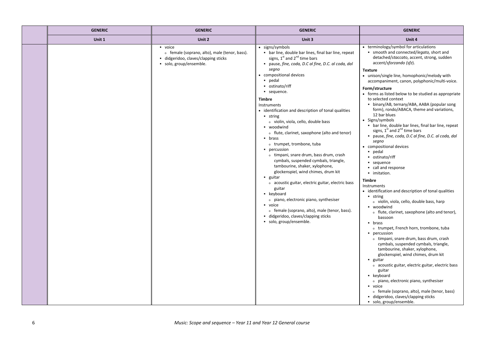| <b>GENERIC</b> | <b>GENERIC</b>                                                                                                          | <b>GENERIC</b>                                                                                                                                                                                                                                                                                                                                                                                                                                                                                                                                                                                                                                                                                                                                                                                                                                                                                                                                                                           | <b>GENERIC</b>                                                                                                                                                                                                                                                                                                                                                                                                                                                                                                                                                                                                                                                                                                                                                                                                                                                                                                                                                                                                                                                                                                                                                                                                                                                                                                                                                                                                                                                                                                                      |
|----------------|-------------------------------------------------------------------------------------------------------------------------|------------------------------------------------------------------------------------------------------------------------------------------------------------------------------------------------------------------------------------------------------------------------------------------------------------------------------------------------------------------------------------------------------------------------------------------------------------------------------------------------------------------------------------------------------------------------------------------------------------------------------------------------------------------------------------------------------------------------------------------------------------------------------------------------------------------------------------------------------------------------------------------------------------------------------------------------------------------------------------------|-------------------------------------------------------------------------------------------------------------------------------------------------------------------------------------------------------------------------------------------------------------------------------------------------------------------------------------------------------------------------------------------------------------------------------------------------------------------------------------------------------------------------------------------------------------------------------------------------------------------------------------------------------------------------------------------------------------------------------------------------------------------------------------------------------------------------------------------------------------------------------------------------------------------------------------------------------------------------------------------------------------------------------------------------------------------------------------------------------------------------------------------------------------------------------------------------------------------------------------------------------------------------------------------------------------------------------------------------------------------------------------------------------------------------------------------------------------------------------------------------------------------------------------|
| Unit 1         | Unit 2                                                                                                                  | Unit 3                                                                                                                                                                                                                                                                                                                                                                                                                                                                                                                                                                                                                                                                                                                                                                                                                                                                                                                                                                                   | Unit 4                                                                                                                                                                                                                                                                                                                                                                                                                                                                                                                                                                                                                                                                                                                                                                                                                                                                                                                                                                                                                                                                                                                                                                                                                                                                                                                                                                                                                                                                                                                              |
|                | • voice<br>o female (soprano, alto), male (tenor, bass).<br>didgeridoo, claves/clapping sticks<br>solo, group/ensemble. | • signs/symbols<br>• bar line, double bar lines, final bar line, repeat<br>signs, 1 <sup>st</sup> and 2 <sup>nd</sup> time bars<br>· pause, fine, coda, D.C al fine, D.C. al coda, dal<br>segno<br>• compositional devices<br>· pedal<br>• ostinato/riff<br>• sequence.<br>Timbre<br>Instruments<br>• identification and description of tonal qualities<br>$\blacksquare$ string<br>o violin, viola, cello, double bass<br>• woodwind<br>o flute, clarinet, saxophone (alto and tenor)<br>$-$ brass<br>o trumpet, trombone, tuba<br>• percussion<br>o timpani, snare drum, bass drum, crash<br>cymbals, suspended cymbals, triangle,<br>tambourine, shaker, xylophone,<br>glockenspiel, wind chimes, drum kit<br>$\blacksquare$ guitar<br>o acoustic guitar, electric guitar, electric bass<br>guitar<br>• keyboard<br>o piano, electronic piano, synthesiser<br>• voice<br>o female (soprano, alto), male (tenor, bass).<br>didgeridoo, claves/clapping sticks<br>solo, group/ensemble. | • terminology/symbol for articulations<br>. smooth and connected/legato, short and<br>detached/staccato, accent, strong, sudden<br>accent/sforzando (sfz).<br><b>Texture</b><br>• unison/single line, homophonic/melody with<br>accompaniment, canon, polyphonic/multi-voice.<br>Form/structure<br>• forms as listed below to be studied as appropriate<br>to selected context<br>• binary/AB, ternary/ABA, AABA (popular song<br>form), rondo/ABACA, theme and variations,<br>12 bar blues<br>• Signs/symbols<br>• bar line, double bar lines, final bar line, repeat<br>signs, $1^{st}$ and $2^{nd}$ time bars<br>· pause, fine, coda, D.C al fine, D.C. al coda, dal<br>segno<br>• compositional devices<br>pedal<br>• ostinato/riff<br>• sequence<br>call and response<br>· imitation.<br><b>Timbre</b><br>Instruments<br>• identification and description of tonal qualities<br>$-$ string<br>o violin, viola, cello, double bass, harp<br>• woodwind<br>o flute, clarinet, saxophone (alto and tenor),<br>bassoon<br>$-$ brass<br>o trumpet, French horn, trombone, tuba<br>• percussion<br>o timpani, snare drum, bass drum, crash<br>cymbals, suspended cymbals, triangle,<br>tambourine, shaker, xylophone,<br>glockenspiel, wind chimes, drum kit<br>$\blacksquare$ guitar<br>o acoustic guitar, electric guitar, electric bass<br>guitar<br>• keyboard<br>o piano, electronic piano, synthesiser<br>voice<br>o female (soprano, alto), male (tenor, bass)<br>didgeridoo, claves/clapping sticks<br>solo, group/ensemble. |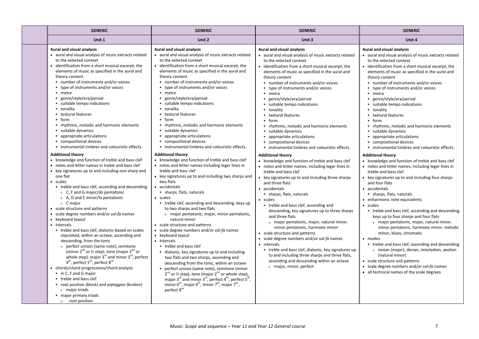| <b>GENERIC</b>                                                                                                                                                                                                                                                                                                                                                                                                                                                                                                                                                                                                                                                                                                                                                                                                                                                                                                                                                                                                                                                                                                                                                                                                                                                                                                                                                                                                                                                                                                                                                                                                                                                                                                  | <b>GENERIC</b>                                                                                                                                                                                                                                                                                                                                                                                                                                                                                                                                                                                                                                                                                                                                                                                                                                                                                                                                                                                                                                                                                                                                                                                                                                                                                                                                                                                                                                                                                                                                                                                                                                                                                                  | <b>GENERIC</b>                                                                                                                                                                                                                                                                                                                                                                                                                                                                                                                                                                                                                                                                                                                                                                                                                                                                                                                                                                                                                                                                                                                                                                                                                                                                                                                                                                                              | <b>GENERIC</b>                                                                                                                                                                                                                                                                                                                                                                                                                                                                                                                                                                                                                                                                                                                                                                                                                                                                                                                                                                                                                                                                                                                                                                                                                                                                                                                                                                                                                               |
|-----------------------------------------------------------------------------------------------------------------------------------------------------------------------------------------------------------------------------------------------------------------------------------------------------------------------------------------------------------------------------------------------------------------------------------------------------------------------------------------------------------------------------------------------------------------------------------------------------------------------------------------------------------------------------------------------------------------------------------------------------------------------------------------------------------------------------------------------------------------------------------------------------------------------------------------------------------------------------------------------------------------------------------------------------------------------------------------------------------------------------------------------------------------------------------------------------------------------------------------------------------------------------------------------------------------------------------------------------------------------------------------------------------------------------------------------------------------------------------------------------------------------------------------------------------------------------------------------------------------------------------------------------------------------------------------------------------------|-----------------------------------------------------------------------------------------------------------------------------------------------------------------------------------------------------------------------------------------------------------------------------------------------------------------------------------------------------------------------------------------------------------------------------------------------------------------------------------------------------------------------------------------------------------------------------------------------------------------------------------------------------------------------------------------------------------------------------------------------------------------------------------------------------------------------------------------------------------------------------------------------------------------------------------------------------------------------------------------------------------------------------------------------------------------------------------------------------------------------------------------------------------------------------------------------------------------------------------------------------------------------------------------------------------------------------------------------------------------------------------------------------------------------------------------------------------------------------------------------------------------------------------------------------------------------------------------------------------------------------------------------------------------------------------------------------------------|-------------------------------------------------------------------------------------------------------------------------------------------------------------------------------------------------------------------------------------------------------------------------------------------------------------------------------------------------------------------------------------------------------------------------------------------------------------------------------------------------------------------------------------------------------------------------------------------------------------------------------------------------------------------------------------------------------------------------------------------------------------------------------------------------------------------------------------------------------------------------------------------------------------------------------------------------------------------------------------------------------------------------------------------------------------------------------------------------------------------------------------------------------------------------------------------------------------------------------------------------------------------------------------------------------------------------------------------------------------------------------------------------------------|----------------------------------------------------------------------------------------------------------------------------------------------------------------------------------------------------------------------------------------------------------------------------------------------------------------------------------------------------------------------------------------------------------------------------------------------------------------------------------------------------------------------------------------------------------------------------------------------------------------------------------------------------------------------------------------------------------------------------------------------------------------------------------------------------------------------------------------------------------------------------------------------------------------------------------------------------------------------------------------------------------------------------------------------------------------------------------------------------------------------------------------------------------------------------------------------------------------------------------------------------------------------------------------------------------------------------------------------------------------------------------------------------------------------------------------------|
| Unit 1                                                                                                                                                                                                                                                                                                                                                                                                                                                                                                                                                                                                                                                                                                                                                                                                                                                                                                                                                                                                                                                                                                                                                                                                                                                                                                                                                                                                                                                                                                                                                                                                                                                                                                          | Unit 2                                                                                                                                                                                                                                                                                                                                                                                                                                                                                                                                                                                                                                                                                                                                                                                                                                                                                                                                                                                                                                                                                                                                                                                                                                                                                                                                                                                                                                                                                                                                                                                                                                                                                                          | Unit 3                                                                                                                                                                                                                                                                                                                                                                                                                                                                                                                                                                                                                                                                                                                                                                                                                                                                                                                                                                                                                                                                                                                                                                                                                                                                                                                                                                                                      | Unit 4                                                                                                                                                                                                                                                                                                                                                                                                                                                                                                                                                                                                                                                                                                                                                                                                                                                                                                                                                                                                                                                                                                                                                                                                                                                                                                                                                                                                                                       |
| Aural and visual analysis<br>• aural and visual analysis of music extracts related<br>to the selected context<br>• identification from a short musical excerpt, the<br>elements of music as specified in the aural and<br>theory content<br>• number of instruments and/or voices<br>• type of instruments and/or voices<br>• metre<br>■ genre/style/era/period<br>· suitable tempo indications<br>• tonality<br>• textural features<br>$-$ form<br>• rhythmic, melodic and harmonic elements<br>suitable dynamics<br>• appropriate articulations<br>compositional devices<br>. instrumental timbres and colouristic effects.<br><b>Additional theory</b><br>• knowledge and function of treble and bass clef<br>• notes and letter names in treble and bass clef<br>• key signatures up to and including one sharp and<br>one flat<br>• scales<br>• treble and bass clef, ascending and descending<br>o C, F and G major/do pentatonic<br>o A, D and E minor/la pentatonic<br>o C major<br>• scale structure and patterns<br>• scale degree numbers and/or sol-fa names<br>• keyboard layout<br>• intervals<br>• treble and bass clef, diatonic-based on scales<br>stipulated, within an octave, ascending and<br>descending, from the tonic<br>o perfect unison (same note), semitone<br>(minor $2^{nd}$ or $\frac{1}{2}$ step), tone (major $2^{nd}$ or<br>whole step), major $3^{rd}$ and minor $3^{rd}$ , perfect<br>4 <sup>th</sup> , perfect 5 <sup>th</sup> , perfect 8 <sup>ve</sup><br>• chords/chord progressions/chord analysis<br>• in C, F and G major<br>• treble and bass clef<br>• root position (block) and arpeggios (broken)<br>o major triads<br>• major primary triads<br>o root position | Aural and visual analysis<br>• aural and visual analysis of music extracts related<br>to the selected context<br>• identification from a short musical excerpt, the<br>elements of music as specified in the aural and<br>theory content<br>• number of instruments and/or voices<br>• type of instruments and/or voices<br>• metre<br>genre/style/era/period<br>$\blacksquare$<br>suitable tempo indications<br>• tonality<br>• textural features<br>form<br>• rhythmic, melodic and harmonic elements<br>suitable dynamics<br>• appropriate articulations<br>compositional devices<br>. instrumental timbres and colouristic effects.<br><b>Additional theory</b><br>• knowledge and function of treble and bass clef<br>• notes and letter names including leger lines in<br>treble and bass clef<br>• key signatures up to and including two sharps and<br>two flats<br>accidentals<br>• sharps, flats, naturals<br>• scales<br>• treble clef, ascending and descending, keys up<br>to two sharps and two flats<br>o major pentatonic, major, minor pentatonic,<br>natural minor<br>• scale structure and patterns<br>• scale degree numbers and/or sol-fa names<br>• keyboard layout<br>• intervals<br>• treble and bass clef<br>diatonic, key signatures up to and including<br>two flats and two sharps, ascending and<br>descending from the tonic, within an octave<br>perfect unison (same note), semitone (minor<br>$2^{nd}$ or $\frac{1}{2}$ step), tone (major $2^{nd}$ or whole step),<br>major 3 <sup>rd</sup> and minor 3 <sup>rd</sup> , perfect 4 <sup>th</sup> , perfect 5 <sup>th</sup> ,<br>minor $6^{th}$ , major $6^{th}$ , minor $7^{th}$ , major $7^{th}$ ,<br>perfect 8 <sup>ve</sup> | Aural and visual analysis<br>• aural and visual analysis of music extracts related<br>to the selected context<br>• identification from a short musical excerpt, the<br>elements of music as specified in the aural and<br>theory content<br>■ number of instruments and/or voices<br>• type of instruments and/or voices<br>$-$ metre<br>■ genre/style/era/period<br>• suitable tempo indications<br>• tonality<br>• textural features<br>$-$ form<br>• rhythmic, melodic and harmonic elements<br>suitable dynamics<br>• appropriate articulations<br>compositional devices<br>. instrumental timbres and colouristic effects.<br><b>Additional theory</b><br>• knowledge and function of treble and bass clef<br>• notes and letter names, including leger lines in<br>treble and bass clef<br>• key signatures up to and including three sharps<br>and three flats<br>· accidentals<br>• sharps, flats, naturals<br>• scales<br>treble and bass clef, ascending and<br>descending, key signatures up to three sharps<br>and three flats<br>o major pentatonic, major, natural minor,<br>minor pentatonic, harmonic minor<br>• scale structure and patterns<br>• scale degree numbers and/or sol-fa names<br>• intervals<br>• treble and bass clef, diatonic, key signatures up<br>to and including three sharps and three flats,<br>ascending and descending within an octave<br>o major, minor, perfect | Aural and visual analysis<br>• aural and visual analysis of music extracts related<br>to the selected context<br>• identification from a short musical excerpt, the<br>elements of music as specified in the aural and<br>theory content<br>• number of instruments and/or voices<br>• type of instruments and/or voices<br>• metre<br>genre/style/era/period<br>suitable tempo indications<br>• tonality<br>• textural features<br>$-$ form<br>• rhythmic, melodic and harmonic elements<br>suitable dynamics<br>• appropriate articulations<br>compositional devices<br>. instrumental timbres and colouristic effects.<br><b>Additional theory</b><br>• knowledge and function of treble and bass clef<br>• notes and letter names, including leger lines in<br>treble and bass clef<br>• key signatures up to and including four sharps<br>and four flats<br>• accidentals<br>• sharps, flats, naturals<br>• enharmonic note equivalents<br>• scales<br>• treble and bass clef, ascending and descending,<br>keys up to four sharps and four flats<br>o major pentatonic, major, natural minor,<br>minor pentatonic, harmonic minor, melodic<br>minor, blues, chromatic<br>• modes<br>• treble and bass clef, ascending and descending<br>o ionian (major), dorian, mixolydian, aeolian<br>(natural minor)<br>• scale structure and patterns<br>• scale degree numbers and/or sol-fa names<br>• all technical names of the scale degrees |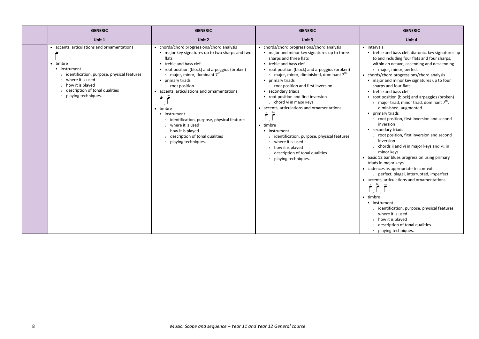| <b>GENERIC</b>                                                                                                                                                                                                                   | <b>GENERIC</b>                                                                                                                                                                                                                                                                                                                                                                                                                                                                                                                                                                      | <b>GENERIC</b>                                                                                                                                                                                                                                                                                                                                                                                                                                                                                                                                                                                                                                                                                        | <b>GENERIC</b>                                                                                                                                                                                                                                                                                                                                                                                                                                                                                                                                                                                                                                                                                                                                                                                                                                                                                                                                                                                                                                                                                                        |
|----------------------------------------------------------------------------------------------------------------------------------------------------------------------------------------------------------------------------------|-------------------------------------------------------------------------------------------------------------------------------------------------------------------------------------------------------------------------------------------------------------------------------------------------------------------------------------------------------------------------------------------------------------------------------------------------------------------------------------------------------------------------------------------------------------------------------------|-------------------------------------------------------------------------------------------------------------------------------------------------------------------------------------------------------------------------------------------------------------------------------------------------------------------------------------------------------------------------------------------------------------------------------------------------------------------------------------------------------------------------------------------------------------------------------------------------------------------------------------------------------------------------------------------------------|-----------------------------------------------------------------------------------------------------------------------------------------------------------------------------------------------------------------------------------------------------------------------------------------------------------------------------------------------------------------------------------------------------------------------------------------------------------------------------------------------------------------------------------------------------------------------------------------------------------------------------------------------------------------------------------------------------------------------------------------------------------------------------------------------------------------------------------------------------------------------------------------------------------------------------------------------------------------------------------------------------------------------------------------------------------------------------------------------------------------------|
| Unit 1                                                                                                                                                                                                                           | Unit 2                                                                                                                                                                                                                                                                                                                                                                                                                                                                                                                                                                              | Unit 3                                                                                                                                                                                                                                                                                                                                                                                                                                                                                                                                                                                                                                                                                                | Unit 4                                                                                                                                                                                                                                                                                                                                                                                                                                                                                                                                                                                                                                                                                                                                                                                                                                                                                                                                                                                                                                                                                                                |
| • accents, articulations and ornamentations<br>• timbre<br>• instrument<br>o identification, purpose, physical features<br>o where it is used<br>o how it is played<br>o description of tonal qualities<br>o playing techniques. | • chords/chord progressions/chord analysis<br>■ major key signatures up to two sharps and two<br>flats<br>• treble and bass clef<br>• root position (block) and arpeggios (broken)<br>$\circ$ major, minor, dominant $7^{\text{th}}$<br>• primary triads<br>o root position<br>accents, articulations and ornamentations<br>$\tilde{\bullet}$<br>timbre<br>• instrument<br>identification, purpose, physical features<br>$\circ$<br>where it is used<br>$\Omega$<br>how it is played<br>$\circ$<br>description of tonal qualities<br>$\circ$<br>playing techniques.<br>$\mathsf{o}$ | • chords/chord progressions/chord analysis<br>■ major and minor key signatures up to three<br>sharps and three flats<br>• treble and bass clef<br>• root position (block) and arpeggios (broken)<br>o major, minor, diminished, dominant 7 <sup>th</sup><br>• primary triads<br>o root position and first inversion<br>• secondary triads<br>• root position and first inversion<br>o chord vi in major keys<br>• accents, articulations and ornamentations<br>ò<br>• timbre<br>• instrument<br>identification, purpose, physical features<br>$\circ$<br>where it is used<br>$\Omega$<br>how it is played<br>$\circ$<br>description of tonal qualities<br>$\Omega$<br>playing techniques.<br>$\Omega$ | • intervals<br>• treble and bass clef, diatonic, key signatures up<br>to and including four flats and four sharps,<br>within an octave, ascending and descending<br>o major, minor, perfect<br>• chords/chord progressions/chord analysis<br>. major and minor key signatures up to four<br>sharps and four flats<br>• treble and bass clef<br>• root position (block) and arpeggios (broken)<br>$\circ$ major triad, minor triad, dominant $7th$ ,<br>diminished, augmented<br>• primary triads<br>o root position, first inversion and second<br>inversion<br>secondary triads<br>o root position, first inversion and second<br>inversion<br>o chords ii and vi in major keys and VI in<br>minor keys<br>• basic 12 bar blues progression using primary<br>triads in major keys<br>• cadences as appropriate to context<br>o perfect, plagal, interrupted, imperfect<br>• accents, articulations and ornamentations<br>$\geq$<br>• timbre<br>• instrument<br>o identification, purpose, physical features<br>o where it is used<br>o how it is played<br>o description of tonal qualities<br>o playing techniques. |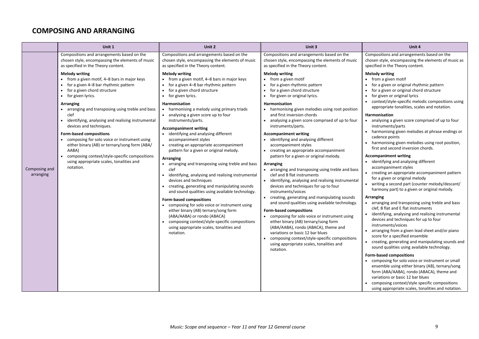## **COMPOSING AND ARRANGING**

|                            | Unit 1                                                                                                                                                                                                                                                                                                                                                                                                                                                                                                                                                                       | Unit 2                                                                                                                                                                                                                                                                                                                                                                                                                                                                                                                                                                                                                                                                                                                                                                                                                                                                                                                                                                                                                   | Unit 3                                                                                                                                                                                                                                                                                                                                                                                                                                                                                                                                                                                                                                                                                                                                                                                                                                                                                                                                                                                                                                                                                                                                              | Unit 4                                                                                                                                                                                                                                                                                                                                                                                                                                                                                                                                                                                                                                                                                                                                                                                                                                                                                                                                                                                                                                                                                                                                                                                                                                                                                                                                                                                                                                                                                                                                                                                 |
|----------------------------|------------------------------------------------------------------------------------------------------------------------------------------------------------------------------------------------------------------------------------------------------------------------------------------------------------------------------------------------------------------------------------------------------------------------------------------------------------------------------------------------------------------------------------------------------------------------------|--------------------------------------------------------------------------------------------------------------------------------------------------------------------------------------------------------------------------------------------------------------------------------------------------------------------------------------------------------------------------------------------------------------------------------------------------------------------------------------------------------------------------------------------------------------------------------------------------------------------------------------------------------------------------------------------------------------------------------------------------------------------------------------------------------------------------------------------------------------------------------------------------------------------------------------------------------------------------------------------------------------------------|-----------------------------------------------------------------------------------------------------------------------------------------------------------------------------------------------------------------------------------------------------------------------------------------------------------------------------------------------------------------------------------------------------------------------------------------------------------------------------------------------------------------------------------------------------------------------------------------------------------------------------------------------------------------------------------------------------------------------------------------------------------------------------------------------------------------------------------------------------------------------------------------------------------------------------------------------------------------------------------------------------------------------------------------------------------------------------------------------------------------------------------------------------|----------------------------------------------------------------------------------------------------------------------------------------------------------------------------------------------------------------------------------------------------------------------------------------------------------------------------------------------------------------------------------------------------------------------------------------------------------------------------------------------------------------------------------------------------------------------------------------------------------------------------------------------------------------------------------------------------------------------------------------------------------------------------------------------------------------------------------------------------------------------------------------------------------------------------------------------------------------------------------------------------------------------------------------------------------------------------------------------------------------------------------------------------------------------------------------------------------------------------------------------------------------------------------------------------------------------------------------------------------------------------------------------------------------------------------------------------------------------------------------------------------------------------------------------------------------------------------------|
|                            | Compositions and arrangements based on the<br>chosen style, encompassing the elements of music<br>as specified in the Theory content.                                                                                                                                                                                                                                                                                                                                                                                                                                        | Compositions and arrangements based on the<br>chosen style, encompassing the elements of music<br>as specified in the Theory content.                                                                                                                                                                                                                                                                                                                                                                                                                                                                                                                                                                                                                                                                                                                                                                                                                                                                                    | Compositions and arrangements based on the<br>chosen style, encompassing the elements of music<br>as specified in the Theory content.                                                                                                                                                                                                                                                                                                                                                                                                                                                                                                                                                                                                                                                                                                                                                                                                                                                                                                                                                                                                               | Compositions and arrangements based on the<br>chosen style, encompassing the elements of music as<br>specified in the Theory content.                                                                                                                                                                                                                                                                                                                                                                                                                                                                                                                                                                                                                                                                                                                                                                                                                                                                                                                                                                                                                                                                                                                                                                                                                                                                                                                                                                                                                                                  |
| Composing and<br>arranging | <b>Melody writing</b><br>• from a given motif, 4-8 bars in major keys<br>for a given 4-8 bar rhythmic pattern<br>for a given chord structure<br>for given lyrics.<br>Arranging<br>• arranging and transposing using treble and bass<br>clef<br>identifying, analysing and realising instrumental<br>devices and techniques.<br>Form-based compositions<br>• composing for solo voice or instrument using<br>either binary (AB) or ternary/song form (ABA/<br>AABA)<br>composing context/style-specific compositions<br>using appropriate scales, tonalities and<br>notation. | <b>Melody writing</b><br>• from a given motif, 4-8 bars in major keys<br>for a given 4-8 bar rhythmic pattern<br>for a given chord structure<br>for given lyrics.<br>Harmonisation<br>• harmonising a melody using primary triads<br>• analysing a given score up to four<br>instruments/parts.<br><b>Accompaniment writing</b><br>identifying and analysing different<br>accompaniment styles<br>creating an appropriate accompaniment<br>pattern for a given or original melody.<br><b>Arranging</b><br>• arranging and transposing using treble and bass<br>clef<br>identifying, analysing and realising instrumental<br>devices and techniques<br>creating, generating and manipulating sounds<br>and sound qualities using available technology.<br><b>Form-based compositions</b><br>composing for solo voice or instrument using<br>either binary (AB) ternary/song form<br>(ABA/AABA) or rondo (ABACA)<br>composing context/style-specific compositions<br>using appropriate scales, tonalities and<br>notation. | <b>Melody writing</b><br>• from a given motif<br>for a given rhythmic pattern<br>for a given chord structure<br>for given or original lyrics.<br>Harmonisation<br>• harmonising given melodies using root position<br>and first inversion chords<br>analysing a given score comprised of up to four<br>instruments/parts.<br><b>Accompaniment writing</b><br>• identifying and analysing different<br>accompaniment styles<br>• creating an appropriate accompaniment<br>pattern for a given or original melody.<br>Arranging<br>• arranging and transposing using treble and bass<br>clef and B flat instruments<br>identifying, analysing and realising instrumental<br>devices and techniques for up to four<br>instruments/voices<br>creating, generating and manipulating sounds<br>and sound qualities using available technology.<br>Form-based compositions<br>• composing for solo voice or instrument using<br>either binary (AB) ternary/song form<br>(ABA/AABA), rondo (ABACA), theme and<br>variations or basic 12 bar blues<br>composing context/style-specific compositions<br>using appropriate scales, tonalities and<br>notation. | <b>Melody writing</b><br>• from a given motif<br>for a given or original rhythmic pattern<br>for a given or original chord structure<br>for given or original lyrics<br>• context/style-specific melodic compositions using<br>appropriate tonalities, scales and notation.<br><b>Harmonisation</b><br>• analysing a given score comprised of up to four<br>instruments/parts<br>harmonising given melodies at phrase endings or<br>cadence points<br>harmonising given melodies using root position,<br>first and second inversion chords.<br><b>Accompaniment writing</b><br>• identifying and analysing different<br>accompaniment styles<br>• creating an appropriate accompaniment pattern<br>for a given or original melody<br>• writing a second part (counter melody/descant/<br>harmony part) to a given or original melody.<br>Arranging<br>• arranging and transposing using treble and bass<br>clef, B flat and E flat instruments<br>identifying, analysing and realising instrumental<br>devices and techniques for up to four<br>instruments/voices<br>arranging from a given lead sheet and/or piano<br>score for a specified ensemble<br>• creating, generating and manipulating sounds and<br>sound qualities using available technology.<br>Form-based compositions<br>• composing for solo voice or instrument or small<br>ensemble using either binary (AB), ternary/song<br>form (ABA/AABA), rondo (ABACA), theme and<br>variations or basic 12 bar blues<br>composing context/style specific compositions<br>using appropriate scales, tonalities and notation. |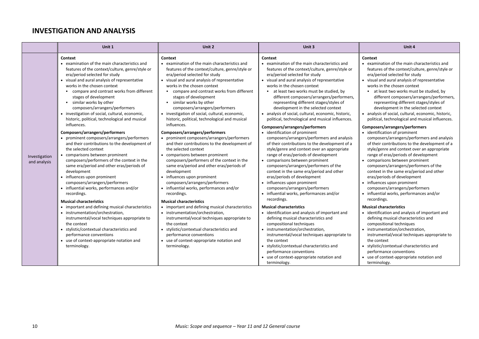## **INVESTIGATION AND ANALYSIS**

|                               | Unit 1                                                                                                                                                                                                                                                                                                                                                                                                                                                                          | Unit 2                                                                                                                                                                                                                                                                                                                                                                                                                                                                        | Unit 3                                                                                                                                                                                                                                                                                                                                                                                                                                                                                                                                     | Unit 4                                                                                                                                                                                                                                                                                                                                                                                                                                                                                                                                     |
|-------------------------------|---------------------------------------------------------------------------------------------------------------------------------------------------------------------------------------------------------------------------------------------------------------------------------------------------------------------------------------------------------------------------------------------------------------------------------------------------------------------------------|-------------------------------------------------------------------------------------------------------------------------------------------------------------------------------------------------------------------------------------------------------------------------------------------------------------------------------------------------------------------------------------------------------------------------------------------------------------------------------|--------------------------------------------------------------------------------------------------------------------------------------------------------------------------------------------------------------------------------------------------------------------------------------------------------------------------------------------------------------------------------------------------------------------------------------------------------------------------------------------------------------------------------------------|--------------------------------------------------------------------------------------------------------------------------------------------------------------------------------------------------------------------------------------------------------------------------------------------------------------------------------------------------------------------------------------------------------------------------------------------------------------------------------------------------------------------------------------------|
|                               | Context<br>• examination of the main characteristics and<br>features of the context/culture, genre/style or<br>era/period selected for study<br>• visual and aural analysis of representative<br>works in the chosen context<br>■ compare and contrast works from different<br>stages of development<br>similar works by other<br>composers/arrangers/performers<br>• investigation of social, cultural, economic,<br>historic, political, technological and musical            | Context<br>• examination of the main characteristics and<br>features of the context/culture, genre/style or<br>era/period selected for study<br>• visual and aural analysis of representative<br>works in the chosen context<br>■ compare and contrast works from different<br>stages of development<br>similar works by other<br>composers/arrangers/performers<br>• investigation of social, cultural, economic,<br>historic, political, technological and musical          | Context<br>• examination of the main characteristics and<br>features of the context/culture, genre/style or<br>era/period selected for study<br>• visual and aural analysis of representative<br>works in the chosen context<br>at least two works must be studied, by<br>$\blacksquare$<br>different composers/arrangers/performers,<br>representing different stages/styles of<br>development in the selected context<br>• analysis of social, cultural, economic, historic,<br>political, technological and musical influences.         | Context<br>• examination of the main characteristics and<br>features of the context/culture, genre/style or<br>era/period selected for study<br>• visual and aural analysis of representative<br>works in the chosen context<br>at least two works must be studied, by<br>different composers/arrangers/performers,<br>representing different stages/styles of<br>development in the selected context<br>• analysis of social, cultural, economic, historic,<br>political, technological and musical influences.                           |
| Investigation<br>and analysis | influences.<br>Composers/arrangers/performers<br>• prominent composers/arrangers/performers<br>and their contributions to the development of<br>the selected context<br>• comparisons between prominent<br>composers/performers of the context in the<br>same era/period and other eras/periods of<br>development<br>• influences upon prominent<br>composers/arrangers/performers<br>• influential works, performances and/or<br>recordings.<br><b>Musical characteristics</b> | influences.<br>Composers/arrangers/performers<br>• prominent composers/arrangers/performers<br>and their contributions to the development of<br>the selected context<br>• comparisons between prominent<br>composers/performers of the context in the<br>same era/period and other eras/periods of<br>development<br>influences upon prominent<br>composers/arrangers/performers<br>• influential works, performances and/or<br>recordings.<br><b>Musical characteristics</b> | Composers/arrangers/performers<br>• identification of prominent<br>composers/arrangers/performers and analysis<br>of their contributions to the development of a<br>style/genre and context over an appropriate<br>range of eras/periods of development<br>• comparisons between prominent<br>composers/arrangers/performers of the<br>context in the same era/period and other<br>eras/periods of development<br>• influences upon prominent<br>composers/arrangers/performers<br>• influential works, performances and/or<br>recordings. | Composers/arrangers/performers<br>• identification of prominent<br>composers/arrangers/performers and analysis<br>of their contributions to the development of a<br>style/genre and context over an appropriate<br>range of eras/periods of development<br>• comparisons between prominent<br>composers/arrangers/performers of the<br>context in the same era/period and other<br>eras/periods of development<br>• influences upon prominent<br>composers/arrangers/performers<br>• influential works, performances and/or<br>recordings. |
|                               | • important and defining musical characteristics<br>• instrumentation/orchestration,<br>instrumental/vocal techniques appropriate to<br>the context<br>• stylistic/contextual characteristics and<br>performance conventions<br>• use of context-appropriate notation and<br>terminology.                                                                                                                                                                                       | • important and defining musical characteristics<br>• instrumentation/orchestration,<br>instrumental/vocal techniques appropriate to<br>the context<br>• stylistic/contextual characteristics and<br>performance conventions<br>• use of context-appropriate notation and<br>terminology.                                                                                                                                                                                     | <b>Musical characteristics</b><br>• identification and analysis of important and<br>defining musical characteristics and<br>compositional techniques<br>• instrumentation/orchestration,<br>instrumental/vocal techniques appropriate to<br>the context<br>• stylistic/contextual characteristics and<br>performance conventions<br>• use of context-appropriate notation and<br>terminology.                                                                                                                                              | <b>Musical characteristics</b><br>• identification and analysis of important and<br>defining musical characteristics and<br>compositional techniques<br>• instrumentation/orchestration,<br>instrumental/vocal techniques appropriate to<br>the context<br>• stylistic/contextual characteristics and<br>performance conventions<br>• use of context-appropriate notation and<br>terminology.                                                                                                                                              |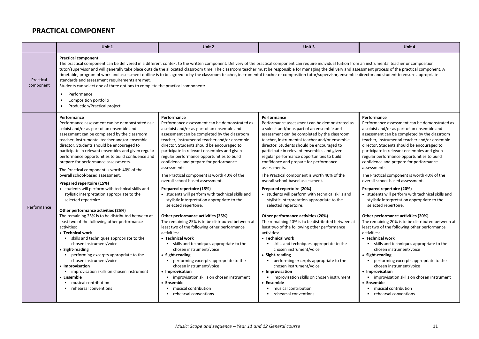## **PRACTICAL COMPONENT**

|                        | Unit 1                                                                                                                                                                                                                                                                                                                                                                                                                                                                                                                                                                                                                                                                                                                                                                                                                                                                                                                                                                                                                                                                                                                                       | Unit 2                                                                                                                                                                                                                                                                                                                                                                                                                                                                                                                                                                                                                                                                                                                                                                                                                                                                                                                                                                                                                                                                                                                                        | Unit 3                                                                                                                                                                                                                                                                                                                                                                                                                                                                                                                                                                                                                                                                                                                                                                                                                                                                                                                                                                                                                                                                                                                                    | Unit 4                                                                                                                                                                                                                                                                                                                                                                                                                                                                                                                                                                                                                                                                                                                                                                                                                                                                                                                                                                                                                                                                                                                                      |
|------------------------|----------------------------------------------------------------------------------------------------------------------------------------------------------------------------------------------------------------------------------------------------------------------------------------------------------------------------------------------------------------------------------------------------------------------------------------------------------------------------------------------------------------------------------------------------------------------------------------------------------------------------------------------------------------------------------------------------------------------------------------------------------------------------------------------------------------------------------------------------------------------------------------------------------------------------------------------------------------------------------------------------------------------------------------------------------------------------------------------------------------------------------------------|-----------------------------------------------------------------------------------------------------------------------------------------------------------------------------------------------------------------------------------------------------------------------------------------------------------------------------------------------------------------------------------------------------------------------------------------------------------------------------------------------------------------------------------------------------------------------------------------------------------------------------------------------------------------------------------------------------------------------------------------------------------------------------------------------------------------------------------------------------------------------------------------------------------------------------------------------------------------------------------------------------------------------------------------------------------------------------------------------------------------------------------------------|-------------------------------------------------------------------------------------------------------------------------------------------------------------------------------------------------------------------------------------------------------------------------------------------------------------------------------------------------------------------------------------------------------------------------------------------------------------------------------------------------------------------------------------------------------------------------------------------------------------------------------------------------------------------------------------------------------------------------------------------------------------------------------------------------------------------------------------------------------------------------------------------------------------------------------------------------------------------------------------------------------------------------------------------------------------------------------------------------------------------------------------------|---------------------------------------------------------------------------------------------------------------------------------------------------------------------------------------------------------------------------------------------------------------------------------------------------------------------------------------------------------------------------------------------------------------------------------------------------------------------------------------------------------------------------------------------------------------------------------------------------------------------------------------------------------------------------------------------------------------------------------------------------------------------------------------------------------------------------------------------------------------------------------------------------------------------------------------------------------------------------------------------------------------------------------------------------------------------------------------------------------------------------------------------|
| Practical<br>component | <b>Practical component</b><br>The practical component can be delivered in a different context to the written component. Delivery of the practical component can require individual tuition from an instrumental teacher or composition<br>tutor/supervisor and will generally take place outside the allocated classroom time. The classroom teacher must be responsible for managing the delivery and assessment process of the practical component. A<br>timetable, program of work and assessment outline is to be agreed to by the classroom teacher, instrumental teacher or composition tutor/supervisor, ensemble director and student to ensure appropriate<br>standards and assessment requirements are met.<br>Students can select one of three options to complete the practical component:<br>Performance<br>$\bullet$<br>Composition portfolio<br>$\bullet$<br>Production/Practical project.                                                                                                                                                                                                                                    |                                                                                                                                                                                                                                                                                                                                                                                                                                                                                                                                                                                                                                                                                                                                                                                                                                                                                                                                                                                                                                                                                                                                               |                                                                                                                                                                                                                                                                                                                                                                                                                                                                                                                                                                                                                                                                                                                                                                                                                                                                                                                                                                                                                                                                                                                                           |                                                                                                                                                                                                                                                                                                                                                                                                                                                                                                                                                                                                                                                                                                                                                                                                                                                                                                                                                                                                                                                                                                                                             |
| Performance            | Performance<br>Performance assessment can be demonstrated as a<br>soloist and/or as part of an ensemble and<br>assessment can be completed by the classroom<br>teacher, instrumental teacher and/or ensemble<br>director. Students should be encouraged to<br>participate in relevant ensembles and given regular<br>performance opportunities to build confidence and<br>prepare for performance assessments.<br>The Practical component is worth 40% of the<br>overall school-based assessment.<br>Prepared repertoire (15%)<br>• students will perform with technical skills and<br>stylistic interpretation appropriate to the<br>selected repertoire.<br>Other performance activities (25%)<br>The remaining 25% is to be distributed between at<br>least two of the following other performance<br>activities:<br>• Technical work<br>• skills and techniques appropriate to the<br>chosen instrument/voice<br>• Sight-reading<br>• performing excerpts appropriate to the<br>chosen instrument/voice<br>• Improvisation<br>• improvisation skills on chosen instrument<br>• Ensemble<br>musical contribution<br>rehearsal conventions | Performance<br>Performance assessment can be demonstrated as<br>a soloist and/or as part of an ensemble and<br>assessment can be completed by the classroom<br>teacher, instrumental teacher and/or ensemble<br>director. Students should be encouraged to<br>participate in relevant ensembles and given<br>regular performance opportunities to build<br>confidence and prepare for performance<br>assessments.<br>The Practical component is worth 40% of the<br>overall school-based assessment.<br>Prepared repertoire (15%)<br>• students will perform with technical skills and<br>stylistic interpretation appropriate to the<br>selected repertoire.<br>Other performance activities (25%)<br>The remaining 25% is to be distributed between at<br>least two of the following other performance<br>activities:<br>• Technical work<br>• skills and techniques appropriate to the<br>chosen instrument/voice<br>• Sight-reading<br>performing excerpts appropriate to the<br>chosen instrument/voice<br>• Improvisation<br>• improvisation skills on chosen instrument<br>• Ensemble<br>musical contribution<br>rehearsal conventions | Performance<br>Performance assessment can be demonstrated as<br>a soloist and/or as part of an ensemble and<br>assessment can be completed by the classroom<br>teacher, instrumental teacher and/or ensemble<br>director. Students should be encouraged to<br>participate in relevant ensembles and given<br>regular performance opportunities to build<br>confidence and prepare for performance<br>assessments.<br>The Practical component is worth 40% of the<br>overall school-based assessment.<br>Prepared repertoire (20%)<br>• students will perform with technical skills and<br>stylistic interpretation appropriate to the<br>selected repertoire.<br>Other performance activities (20%)<br>The remaining 20% is to be distributed between at<br>least two of the following other performance<br>activities:<br>• Technical work<br>skills and techniques appropriate to the<br>chosen instrument/voice<br>• Sight-reading<br>performing excerpts appropriate to the<br>chosen instrument/voice<br>• Improvisation<br>improvisation skills on chosen instrument<br>• Ensemble<br>musical contribution<br>rehearsal conventions | Performance<br>Performance assessment can be demonstrated as<br>a soloist and/or as part of an ensemble and<br>assessment can be completed by the classroom<br>teacher, instrumental teacher and/or ensemble<br>director. Students should be encouraged to<br>participate in relevant ensembles and given<br>regular performance opportunities to build<br>confidence and prepare for performance<br>assessments.<br>The Practical component is worth 40% of the<br>overall school-based assessment.<br>Prepared repertoire (20%)<br>• students will perform with technical skills and<br>stylistic interpretation appropriate to the<br>selected repertoire.<br>Other performance activities (20%)<br>The remaining 20% is to be distributed between at<br>least two of the following other performance<br>activities:<br>• Technical work<br>• skills and techniques appropriate to the<br>chosen instrument/voice<br>• Sight-reading<br>performing excerpts appropriate to the<br>chosen instrument/voice<br>• Improvisation<br>improvisation skills on chosen instrument<br>• Ensemble<br>musical contribution<br>rehearsal conventions |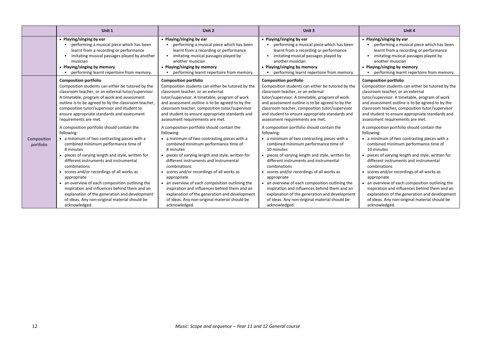|                          | Unit 1                                                                                                                                                                                                                                                                                                                                                                                                                                                                                                                                                         | Unit 2                                                                                                                                                                                                                                                                                                                                                                                                                                                                                                                                                           | Unit 3                                                                                                                                                                                                                                                                                                                                                                                                                                                                                                                                                            | Unit 4                                                                                                                                                                                                                                                                                                                                                                                                                                                                                                                                                            |
|--------------------------|----------------------------------------------------------------------------------------------------------------------------------------------------------------------------------------------------------------------------------------------------------------------------------------------------------------------------------------------------------------------------------------------------------------------------------------------------------------------------------------------------------------------------------------------------------------|------------------------------------------------------------------------------------------------------------------------------------------------------------------------------------------------------------------------------------------------------------------------------------------------------------------------------------------------------------------------------------------------------------------------------------------------------------------------------------------------------------------------------------------------------------------|-------------------------------------------------------------------------------------------------------------------------------------------------------------------------------------------------------------------------------------------------------------------------------------------------------------------------------------------------------------------------------------------------------------------------------------------------------------------------------------------------------------------------------------------------------------------|-------------------------------------------------------------------------------------------------------------------------------------------------------------------------------------------------------------------------------------------------------------------------------------------------------------------------------------------------------------------------------------------------------------------------------------------------------------------------------------------------------------------------------------------------------------------|
|                          | • Playing/singing by ear                                                                                                                                                                                                                                                                                                                                                                                                                                                                                                                                       | • Playing/singing by ear                                                                                                                                                                                                                                                                                                                                                                                                                                                                                                                                         | • Playing/singing by ear                                                                                                                                                                                                                                                                                                                                                                                                                                                                                                                                          | • Playing/singing by ear                                                                                                                                                                                                                                                                                                                                                                                                                                                                                                                                          |
|                          | performing a musical piece which has been                                                                                                                                                                                                                                                                                                                                                                                                                                                                                                                      | performing a musical piece which has been                                                                                                                                                                                                                                                                                                                                                                                                                                                                                                                        | performing a musical piece which has been                                                                                                                                                                                                                                                                                                                                                                                                                                                                                                                         | performing a musical piece which has been                                                                                                                                                                                                                                                                                                                                                                                                                                                                                                                         |
|                          | learnt from a recording or performance                                                                                                                                                                                                                                                                                                                                                                                                                                                                                                                         | learnt from a recording or performance                                                                                                                                                                                                                                                                                                                                                                                                                                                                                                                           | learnt from a recording or performance                                                                                                                                                                                                                                                                                                                                                                                                                                                                                                                            | learnt from a recording or performance                                                                                                                                                                                                                                                                                                                                                                                                                                                                                                                            |
|                          | imitating musical passages played by another                                                                                                                                                                                                                                                                                                                                                                                                                                                                                                                   | imitating musical passages played by                                                                                                                                                                                                                                                                                                                                                                                                                                                                                                                             | imitating musical passages played by                                                                                                                                                                                                                                                                                                                                                                                                                                                                                                                              | imitating musical passages played by                                                                                                                                                                                                                                                                                                                                                                                                                                                                                                                              |
|                          | musician                                                                                                                                                                                                                                                                                                                                                                                                                                                                                                                                                       | another musician                                                                                                                                                                                                                                                                                                                                                                                                                                                                                                                                                 | another musician                                                                                                                                                                                                                                                                                                                                                                                                                                                                                                                                                  | another musician                                                                                                                                                                                                                                                                                                                                                                                                                                                                                                                                                  |
|                          | • Playing/singing by memory                                                                                                                                                                                                                                                                                                                                                                                                                                                                                                                                    | • Playing/singing by memory                                                                                                                                                                                                                                                                                                                                                                                                                                                                                                                                      | • Playing/singing by memory                                                                                                                                                                                                                                                                                                                                                                                                                                                                                                                                       | • Playing/singing by memory                                                                                                                                                                                                                                                                                                                                                                                                                                                                                                                                       |
|                          | performing learnt repertoire from memory.                                                                                                                                                                                                                                                                                                                                                                                                                                                                                                                      | performing learnt repertoire from memory.                                                                                                                                                                                                                                                                                                                                                                                                                                                                                                                        | performing learnt repertoire from memory.                                                                                                                                                                                                                                                                                                                                                                                                                                                                                                                         | performing learnt repertoire from memory.                                                                                                                                                                                                                                                                                                                                                                                                                                                                                                                         |
|                          | <b>Composition portfolio</b>                                                                                                                                                                                                                                                                                                                                                                                                                                                                                                                                   | <b>Composition portfolio</b>                                                                                                                                                                                                                                                                                                                                                                                                                                                                                                                                     | <b>Composition portfolio</b>                                                                                                                                                                                                                                                                                                                                                                                                                                                                                                                                      | <b>Composition portfolio</b>                                                                                                                                                                                                                                                                                                                                                                                                                                                                                                                                      |
|                          | Composition students can either be tutored by the                                                                                                                                                                                                                                                                                                                                                                                                                                                                                                              | Composition students can either be tutored by the                                                                                                                                                                                                                                                                                                                                                                                                                                                                                                                | Composition students can either be tutored by the                                                                                                                                                                                                                                                                                                                                                                                                                                                                                                                 | Composition students can either be tutored by the                                                                                                                                                                                                                                                                                                                                                                                                                                                                                                                 |
|                          | classroom teacher, or an external tutor/supervisor.                                                                                                                                                                                                                                                                                                                                                                                                                                                                                                            | classroom teacher, or an external                                                                                                                                                                                                                                                                                                                                                                                                                                                                                                                                | classroom teacher, or an external                                                                                                                                                                                                                                                                                                                                                                                                                                                                                                                                 | classroom teacher, or an external                                                                                                                                                                                                                                                                                                                                                                                                                                                                                                                                 |
|                          | A timetable, program of work and assessment                                                                                                                                                                                                                                                                                                                                                                                                                                                                                                                    | tutor/supervisor. A timetable, program of work                                                                                                                                                                                                                                                                                                                                                                                                                                                                                                                   | tutor/supervisor. A timetable, program of work                                                                                                                                                                                                                                                                                                                                                                                                                                                                                                                    | tutor/supervisor. A timetable, program of work                                                                                                                                                                                                                                                                                                                                                                                                                                                                                                                    |
|                          | outline is to be agreed to by the classroom teacher,                                                                                                                                                                                                                                                                                                                                                                                                                                                                                                           | and assessment outline is to be agreed to by the                                                                                                                                                                                                                                                                                                                                                                                                                                                                                                                 | and assessment outline is to be agreed to by the                                                                                                                                                                                                                                                                                                                                                                                                                                                                                                                  | and assessment outline is to be agreed to by the                                                                                                                                                                                                                                                                                                                                                                                                                                                                                                                  |
|                          | composition tutor/supervisor and student to                                                                                                                                                                                                                                                                                                                                                                                                                                                                                                                    | classroom teacher, composition tutor/supervisor                                                                                                                                                                                                                                                                                                                                                                                                                                                                                                                  | classroom teacher, composition tutor/supervisor                                                                                                                                                                                                                                                                                                                                                                                                                                                                                                                   | classroom teacher, composition tutor/supervisor                                                                                                                                                                                                                                                                                                                                                                                                                                                                                                                   |
|                          | ensure appropriate standards and assessment                                                                                                                                                                                                                                                                                                                                                                                                                                                                                                                    | and student to ensure appropriate standards and                                                                                                                                                                                                                                                                                                                                                                                                                                                                                                                  | and student to ensure appropriate standards and                                                                                                                                                                                                                                                                                                                                                                                                                                                                                                                   | and student to ensure appropriate standards and                                                                                                                                                                                                                                                                                                                                                                                                                                                                                                                   |
|                          | requirements are met.                                                                                                                                                                                                                                                                                                                                                                                                                                                                                                                                          | assessment requirements are met.                                                                                                                                                                                                                                                                                                                                                                                                                                                                                                                                 | assessment requirements are met.                                                                                                                                                                                                                                                                                                                                                                                                                                                                                                                                  | assessment requirements are met.                                                                                                                                                                                                                                                                                                                                                                                                                                                                                                                                  |
| Composition<br>portfolio | A composition portfolio should contain the<br>following:<br>• a minimum of two contrasting pieces with a<br>combined minimum performance time of<br>8 minutes<br>pieces of varying length and style, written for<br>different instruments and instrumental<br>combinations<br>• scores and/or recordings of all works as<br>appropriate<br>• an overview of each composition outlining the<br>inspiration and influences behind them and an<br>explanation of the generation and development<br>of ideas. Any non-original material should be<br>acknowledged. | A composition portfolio should contain the<br>following:<br>• a minimum of two contrasting pieces with a<br>combined minimum performance time of<br>8 minutes<br>• pieces of varying length and style, written for<br>different instruments and instrumental<br>combinations<br>• scores and/or recordings of all works as<br>appropriate<br>• an overview of each composition outlining the<br>inspiration and influences behind them and an<br>explanation of the generation and development<br>of ideas. Any non-original material should be<br>acknowledged. | A composition portfolio should contain the<br>following:<br>• a minimum of two contrasting pieces with a<br>combined minimum performance time of<br>10 minutes<br>• pieces of varying length and style, written for<br>different instruments and instrumental<br>combinations<br>• scores and/or recordings of all works as<br>appropriate<br>• an overview of each composition outlining the<br>inspiration and influences behind them and an<br>explanation of the generation and development<br>of ideas. Any non-original material should be<br>acknowledged. | A composition portfolio should contain the<br>following:<br>• a minimum of two contrasting pieces with a<br>combined minimum performance time of<br>10 minutes<br>• pieces of varying length and style, written for<br>different instruments and instrumental<br>combinations<br>• scores and/or recordings of all works as<br>appropriate<br>• an overview of each composition outlining the<br>inspiration and influences behind them and an<br>explanation of the generation and development<br>of ideas. Any non-original material should be<br>acknowledged. |